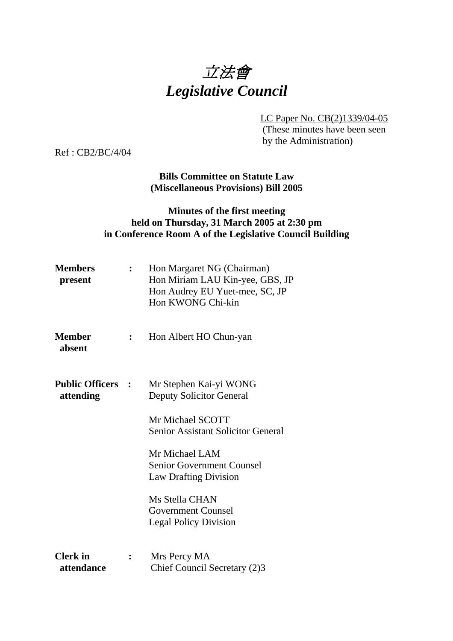

LC Paper No. CB(2)1339/04-05

 (These minutes have been seen by the Administration)

Ref : CB2/BC/4/04

**Bills Committee on Statute Law (Miscellaneous Provisions) Bill 2005** 

# **Minutes of the first meeting held on Thursday, 31 March 2005 at 2:30 pm in Conference Room A of the Legislative Council Building**

| <b>Members</b><br>present             |                | Hon Margaret NG (Chairman)<br>Hon Miriam LAU Kin-yee, GBS, JP<br>Hon Audrey EU Yuet-mee, SC, JP<br>Hon KWONG Chi-kin |
|---------------------------------------|----------------|----------------------------------------------------------------------------------------------------------------------|
| <b>Member</b><br>absent               | $\ddot{\cdot}$ | Hon Albert HO Chun-yan                                                                                               |
| <b>Public Officers :</b><br>attending |                | Mr Stephen Kai-yi WONG<br><b>Deputy Solicitor General</b>                                                            |
|                                       |                | Mr Michael SCOTT<br><b>Senior Assistant Solicitor General</b>                                                        |
|                                       |                | Mr Michael LAM<br><b>Senior Government Counsel</b><br><b>Law Drafting Division</b>                                   |
|                                       |                | Ms Stella CHAN<br><b>Government Counsel</b><br><b>Legal Policy Division</b>                                          |
| <b>Clerk</b> in<br>attendance         | $\ddot{\cdot}$ | Mrs Percy MA<br>Chief Council Secretary (2)3                                                                         |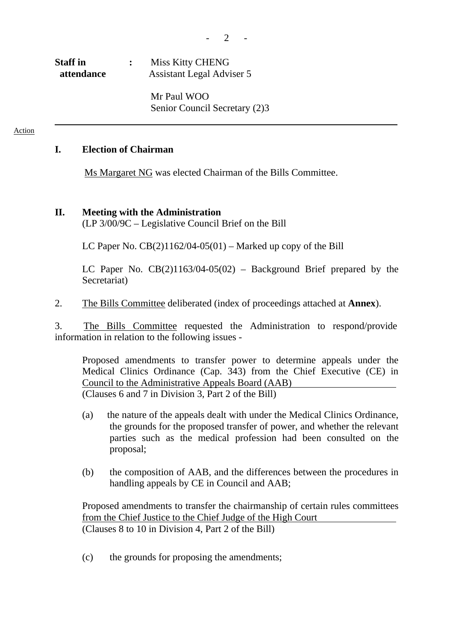| <b>Staff</b> in | Miss Kitty CHENG          |
|-----------------|---------------------------|
| attendance      | Assistant Legal Adviser 5 |

Mr Paul WOO Senior Council Secretary (2)3

#### Action

# **I. Election of Chairman**

Ms Margaret NG was elected Chairman of the Bills Committee.

### **II. Meeting with the Administration**

(LP 3/00/9C – Legislative Council Brief on the Bill

LC Paper No.  $CB(2)1162/04-05(01)$  – Marked up copy of the Bill

LC Paper No. CB(2)1163/04-05(02) – Background Brief prepared by the Secretariat)

2. The Bills Committee deliberated (index of proceedings attached at **Annex**).

3. The Bills Committee requested the Administration to respond/provide information in relation to the following issues -

 Proposed amendments to transfer power to determine appeals under the Medical Clinics Ordinance (Cap. 343) from the Chief Executive (CE) in Council to the Administrative Appeals Board (AAB) (Clauses 6 and 7 in Division 3, Part 2 of the Bill)

- (a) the nature of the appeals dealt with under the Medical Clinics Ordinance, the grounds for the proposed transfer of power, and whether the relevant parties such as the medical profession had been consulted on the proposal;
- (b) the composition of AAB, and the differences between the procedures in handling appeals by CE in Council and AAB;

 Proposed amendments to transfer the chairmanship of certain rules committees from the Chief Justice to the Chief Judge of the High Court (Clauses 8 to 10 in Division 4, Part 2 of the Bill)

(c) the grounds for proposing the amendments;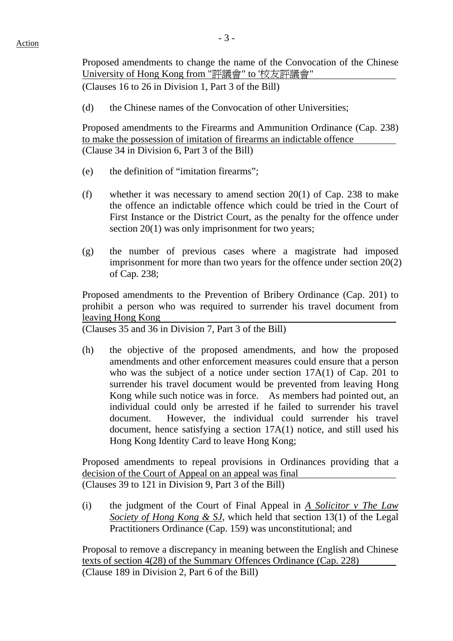Proposed amendments to change the name of the Convocation of the Chinese University of Hong Kong from "評議會" to '校友評議會"

(Clauses 16 to 26 in Division 1, Part 3 of the Bill)

(d) the Chinese names of the Convocation of other Universities;

 Proposed amendments to the Firearms and Ammunition Ordinance (Cap. 238) to make the possession of imitation of firearms an indictable offence (Clause 34 in Division 6, Part 3 of the Bill)

- (e) the definition of "imitation firearms";
- (f) whether it was necessary to amend section  $20(1)$  of Cap. 238 to make the offence an indictable offence which could be tried in the Court of First Instance or the District Court, as the penalty for the offence under section 20(1) was only imprisonment for two years;
- (g) the number of previous cases where a magistrate had imposed imprisonment for more than two years for the offence under section 20(2) of Cap. 238;

 Proposed amendments to the Prevention of Bribery Ordinance (Cap. 201) to prohibit a person who was required to surrender his travel document from leaving Hong Kong

(Clauses 35 and 36 in Division 7, Part 3 of the Bill)

 (h) the objective of the proposed amendments, and how the proposed amendments and other enforcement measures could ensure that a person who was the subject of a notice under section 17A(1) of Cap. 201 to surrender his travel document would be prevented from leaving Hong Kong while such notice was in force. As members had pointed out, an individual could only be arrested if he failed to surrender his travel document. However, the individual could surrender his travel document, hence satisfying a section 17A(1) notice, and still used his Hong Kong Identity Card to leave Hong Kong;

 Proposed amendments to repeal provisions in Ordinances providing that a decision of the Court of Appeal on an appeal was final (Clauses 39 to 121 in Division 9, Part 3 of the Bill)

 (i) the judgment of the Court of Final Appeal in *A Solicitor v The Law Society of Hong Kong & SJ*, which held that section 13(1) of the Legal Practitioners Ordinance (Cap. 159) was unconstitutional; and

 Proposal to remove a discrepancy in meaning between the English and Chinese texts of section 4(28) of the Summary Offences Ordinance (Cap. 228) (Clause 189 in Division 2, Part 6 of the Bill)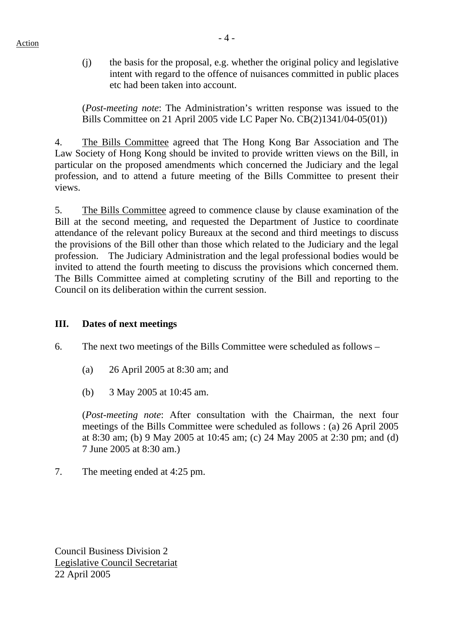(j) the basis for the proposal, e.g. whether the original policy and legislative intent with regard to the offence of nuisances committed in public places etc had been taken into account.

(*Post-meeting note*: The Administration's written response was issued to the Bills Committee on 21 April 2005 vide LC Paper No. CB(2)1341/04-05(01))

4. The Bills Committee agreed that The Hong Kong Bar Association and The Law Society of Hong Kong should be invited to provide written views on the Bill, in particular on the proposed amendments which concerned the Judiciary and the legal profession, and to attend a future meeting of the Bills Committee to present their views.

5. The Bills Committee agreed to commence clause by clause examination of the Bill at the second meeting, and requested the Department of Justice to coordinate attendance of the relevant policy Bureaux at the second and third meetings to discuss the provisions of the Bill other than those which related to the Judiciary and the legal profession. The Judiciary Administration and the legal professional bodies would be invited to attend the fourth meeting to discuss the provisions which concerned them. The Bills Committee aimed at completing scrutiny of the Bill and reporting to the Council on its deliberation within the current session.

# **III. Dates of next meetings**

6. The next two meetings of the Bills Committee were scheduled as follows –

- (a) 26 April 2005 at 8:30 am; and
- (b) 3 May 2005 at 10:45 am.

(*Post-meeting note*: After consultation with the Chairman, the next four meetings of the Bills Committee were scheduled as follows : (a) 26 April 2005 at 8:30 am; (b) 9 May 2005 at 10:45 am; (c) 24 May 2005 at 2:30 pm; and (d) 7 June 2005 at 8:30 am.)

7. The meeting ended at 4:25 pm.

Council Business Division 2 Legislative Council Secretariat 22 April 2005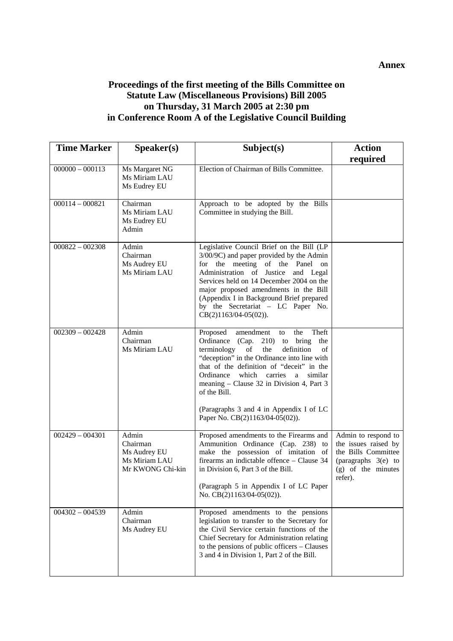# **Proceedings of the first meeting of the Bills Committee on Statute Law (Miscellaneous Provisions) Bill 2005 on Thursday, 31 March 2005 at 2:30 pm in Conference Room A of the Legislative Council Building**

| <b>Time Marker</b> | S <sub>p</sub> e <sub>aker</sub> (s)                                   | Subject(s)                                                                                                                                                                                                                                                                                                                                                                                                            | <b>Action</b><br>required                                                                                                  |
|--------------------|------------------------------------------------------------------------|-----------------------------------------------------------------------------------------------------------------------------------------------------------------------------------------------------------------------------------------------------------------------------------------------------------------------------------------------------------------------------------------------------------------------|----------------------------------------------------------------------------------------------------------------------------|
| $000000 - 000113$  | Ms Margaret NG<br>Ms Miriam LAU<br>Ms Eudrey EU                        | Election of Chairman of Bills Committee.                                                                                                                                                                                                                                                                                                                                                                              |                                                                                                                            |
| $000114 - 000821$  | Chairman<br>Ms Miriam LAU<br>Ms Eudrey EU<br>Admin                     | Approach to be adopted by the Bills<br>Committee in studying the Bill.                                                                                                                                                                                                                                                                                                                                                |                                                                                                                            |
| $000822 - 002308$  | Admin<br>Chairman<br>Ms Audrey EU<br>Ms Miriam LAU                     | Legislative Council Brief on the Bill (LP<br>3/00/9C) and paper provided by the Admin<br>for the meeting of the Panel on<br>Administration of Justice<br>and Legal<br>Services held on 14 December 2004 on the<br>major proposed amendments in the Bill<br>(Appendix I in Background Brief prepared<br>by the Secretariat - LC Paper No.<br>$CB(2)1163/04-05(02)).$                                                   |                                                                                                                            |
| $002309 - 002428$  | Admin<br>Chairman<br>Ms Miriam LAU                                     | Theft<br>Proposed<br>amendment<br>the<br>to<br>Ordinance (Cap. 210) to bring the<br>definition<br>terminology<br>of<br>the<br>of<br>"deception" in the Ordinance into line with<br>that of the definition of "deceit" in the<br>Ordinance<br>which<br>carries a<br>similar<br>meaning – Clause 32 in Division 4, Part 3<br>of the Bill.<br>(Paragraphs 3 and 4 in Appendix I of LC<br>Paper No. CB(2)1163/04-05(02)). |                                                                                                                            |
| $002429 - 004301$  | Admin<br>Chairman<br>Ms Audrey EU<br>Ms Miriam LAU<br>Mr KWONG Chi-kin | Proposed amendments to the Firearms and<br>Ammunition Ordinance (Cap. 238) to<br>make the possession of imitation of<br>firearms an indictable offence - Clause 34<br>in Division 6, Part 3 of the Bill.<br>(Paragraph 5 in Appendix I of LC Paper<br>No. CB(2)1163/04-05(02)).                                                                                                                                       | Admin to respond to<br>the issues raised by<br>the Bills Committee<br>(paragraphs 3(e) to<br>(g) of the minutes<br>refer). |
| $004302 - 004539$  | Admin<br>Chairman<br>Ms Audrey EU                                      | Proposed amendments to the pensions<br>legislation to transfer to the Secretary for<br>the Civil Service certain functions of the<br>Chief Secretary for Administration relating<br>to the pensions of public officers - Clauses<br>3 and 4 in Division 1, Part 2 of the Bill.                                                                                                                                        |                                                                                                                            |

**Annex**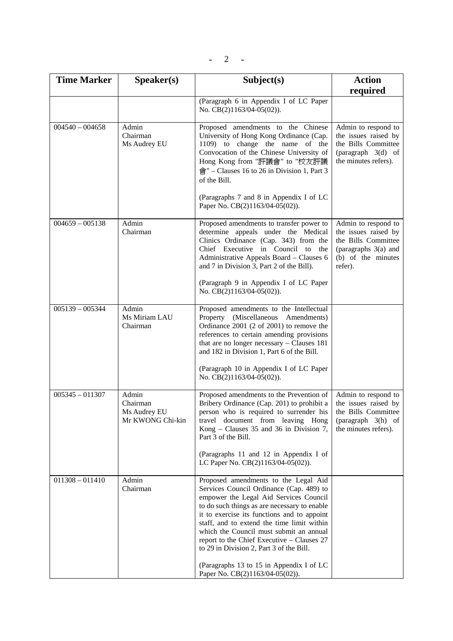| <b>Time Marker</b> | S <sub>p</sub> e <sub>aker(s)</sub>                   | Subject(s)                                                                                                                                                                                                                                                                                                                                                                                                                                                                                  | <b>Action</b>                                                                                                               |
|--------------------|-------------------------------------------------------|---------------------------------------------------------------------------------------------------------------------------------------------------------------------------------------------------------------------------------------------------------------------------------------------------------------------------------------------------------------------------------------------------------------------------------------------------------------------------------------------|-----------------------------------------------------------------------------------------------------------------------------|
|                    |                                                       |                                                                                                                                                                                                                                                                                                                                                                                                                                                                                             | required                                                                                                                    |
|                    |                                                       | (Paragraph 6 in Appendix I of LC Paper<br>No. CB(2)1163/04-05(02)).                                                                                                                                                                                                                                                                                                                                                                                                                         |                                                                                                                             |
| $004540 - 004658$  | Admin<br>Chairman<br>Ms Audrey EU                     | Proposed amendments to the Chinese<br>University of Hong Kong Ordinance (Cap.<br>1109) to change the name of the<br>Convocation of the Chinese University of<br>Hong Kong from "評議會" to "校友評議<br>$\hat{\mathbb{G}}$ " – Clauses 16 to 26 in Division 1, Part 3<br>of the Bill.                                                                                                                                                                                                              | Admin to respond to<br>the issues raised by<br>the Bills Committee<br>(paragraph $3(d)$ of<br>the minutes refers).          |
|                    |                                                       | (Paragraphs 7 and 8 in Appendix I of LC<br>Paper No. CB(2)1163/04-05(02)).                                                                                                                                                                                                                                                                                                                                                                                                                  |                                                                                                                             |
| $004659 - 005138$  | Admin<br>Chairman                                     | Proposed amendments to transfer power to<br>determine appeals under the Medical<br>Clinics Ordinance (Cap. 343) from the<br>Chief Executive in Council to<br>the<br>Administrative Appeals Board - Clauses 6<br>and 7 in Division 3, Part 2 of the Bill).<br>(Paragraph 9 in Appendix I of LC Paper                                                                                                                                                                                         | Admin to respond to<br>the issues raised by<br>the Bills Committee<br>(paragraphs 3(a) and<br>(b) of the minutes<br>refer). |
|                    |                                                       | No. CB(2)1163/04-05(02)).                                                                                                                                                                                                                                                                                                                                                                                                                                                                   |                                                                                                                             |
| $005139 - 005344$  | Admin<br>Ms Miriam LAU<br>Chairman                    | Proposed amendments to the Intellectual<br>Property (Miscellaneous Amendments)<br>Ordinance 2001 (2 of 2001) to remove the<br>references to certain amending provisions<br>that are no longer necessary - Clauses 181<br>and 182 in Division 1, Part 6 of the Bill.<br>(Paragraph 10 in Appendix I of LC Paper<br>No. CB(2)1163/04-05(02)).                                                                                                                                                 |                                                                                                                             |
| $005345 - 011307$  | Admin<br>Chairman<br>Ms Audrey EU<br>Mr KWONG Chi-kin | Proposed amendments to the Prevention of<br>Bribery Ordinance (Cap. 201) to prohibit a<br>person who is required to surrender his<br>travel document from leaving Hong<br>Kong – Clauses 35 and 36 in Division 7,<br>Part 3 of the Bill.<br>(Paragraphs 11 and 12 in Appendix I of<br>LC Paper No. CB(2)1163/04-05(02)).                                                                                                                                                                    | Admin to respond to<br>the issues raised by<br>the Bills Committee<br>(paragraph $3(h)$ of<br>the minutes refers).          |
| $011308 - 011410$  | Admin<br>Chairman                                     | Proposed amendments to the Legal Aid<br>Services Council Ordinance (Cap. 489) to<br>empower the Legal Aid Services Council<br>to do such things as are necessary to enable<br>it to exercise its functions and to appoint<br>staff, and to extend the time limit within<br>which the Council must submit an annual<br>report to the Chief Executive - Clauses 27<br>to 29 in Division 2, Part 3 of the Bill.<br>(Paragraphs 13 to 15 in Appendix I of LC<br>Paper No. CB(2)1163/04-05(02)). |                                                                                                                             |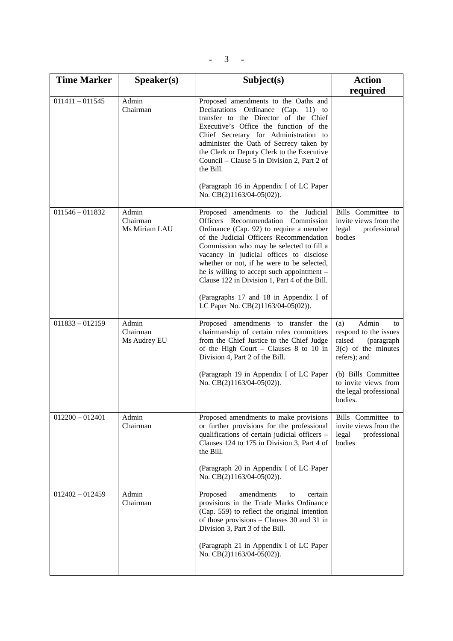$- 3 - 1$ 

| <b>Time Marker</b> | Speaker(s)                         | Subject(s)                                                                                                                                                                                                                                                                                                                                                                                                                                                                            | <b>Action</b>                                                                                                                                                                                    |
|--------------------|------------------------------------|---------------------------------------------------------------------------------------------------------------------------------------------------------------------------------------------------------------------------------------------------------------------------------------------------------------------------------------------------------------------------------------------------------------------------------------------------------------------------------------|--------------------------------------------------------------------------------------------------------------------------------------------------------------------------------------------------|
|                    |                                    |                                                                                                                                                                                                                                                                                                                                                                                                                                                                                       | required                                                                                                                                                                                         |
| $011411 - 011545$  | Admin<br>Chairman                  | Proposed amendments to the Oaths and<br>Declarations Ordinance (Cap. 11) to<br>transfer to the Director of the Chief<br>Executive's Office the function of the<br>Chief Secretary for Administration to<br>administer the Oath of Secrecy taken by<br>the Clerk or Deputy Clerk to the Executive<br>Council – Clause 5 in Division 2, Part 2 of<br>the Bill.<br>(Paragraph 16 in Appendix I of LC Paper<br>No. CB(2)1163/04-05(02)).                                                  |                                                                                                                                                                                                  |
| $011546 - 011832$  | Admin<br>Chairman<br>Ms Miriam LAU | Proposed amendments to the Judicial<br>Officers Recommendation Commission<br>Ordinance (Cap. 92) to require a member<br>of the Judicial Officers Recommendation<br>Commission who may be selected to fill a<br>vacancy in judicial offices to disclose<br>whether or not, if he were to be selected,<br>he is willing to accept such appointment $-$<br>Clause 122 in Division 1, Part 4 of the Bill.<br>(Paragraphs 17 and 18 in Appendix I of<br>LC Paper No. CB(2)1163/04-05(02)). | Bills Committee to<br>invite views from the<br>legal<br>professional<br>bodies                                                                                                                   |
| $011833 - 012159$  | Admin<br>Chairman<br>Ms Audrey EU  | Proposed amendments to transfer the<br>chairmanship of certain rules committees<br>from the Chief Justice to the Chief Judge<br>of the High Court - Clauses $8$ to 10 in<br>Division 4, Part 2 of the Bill.<br>(Paragraph 19 in Appendix I of LC Paper<br>No. CB(2)1163/04-05(02)).                                                                                                                                                                                                   | Admin<br>(a)<br>to<br>respond to the issues<br>raised<br>(paragraph<br>$3(c)$ of the minutes<br>refers); and<br>(b) Bills Committee<br>to invite views from<br>the legal professional<br>bodies. |
| $012200 - 012401$  | Admin<br>Chairman                  | Proposed amendments to make provisions<br>or further provisions for the professional<br>qualifications of certain judicial officers -<br>Clauses 124 to 175 in Division 3, Part 4 of<br>the Bill.<br>(Paragraph 20 in Appendix I of LC Paper<br>No. CB(2)1163/04-05(02)).                                                                                                                                                                                                             | Bills Committee to<br>invite views from the<br>legal<br>professional<br>bodies                                                                                                                   |
| $012402 - 012459$  | Admin<br>Chairman                  | Proposed<br>amendments<br>certain<br>to<br>provisions in the Trade Marks Ordinance<br>(Cap. 559) to reflect the original intention<br>of those provisions – Clauses 30 and 31 in<br>Division 3, Part 3 of the Bill.<br>(Paragraph 21 in Appendix I of LC Paper<br>No. CB(2)1163/04-05(02)).                                                                                                                                                                                           |                                                                                                                                                                                                  |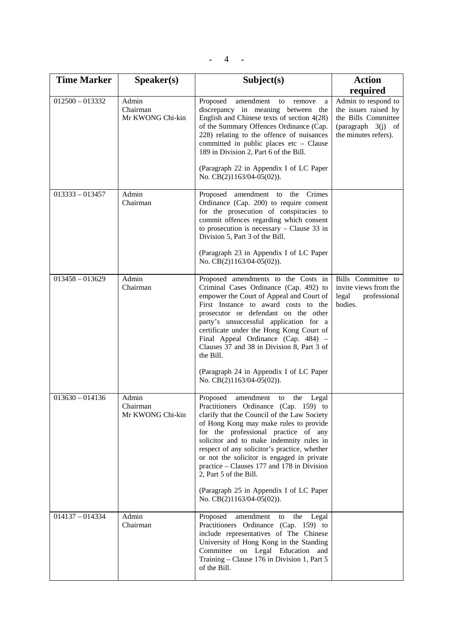| $-4$ | <b>Contract Contract</b><br>- |  |
|------|-------------------------------|--|
|      |                               |  |

| <b>Time Marker</b> | Speaker(s)                            | Subject(s)                                                                                                                                                                                                                                                                                                                                                                                                                                                                                                   | <b>Action</b>                                                                                                      |
|--------------------|---------------------------------------|--------------------------------------------------------------------------------------------------------------------------------------------------------------------------------------------------------------------------------------------------------------------------------------------------------------------------------------------------------------------------------------------------------------------------------------------------------------------------------------------------------------|--------------------------------------------------------------------------------------------------------------------|
|                    |                                       |                                                                                                                                                                                                                                                                                                                                                                                                                                                                                                              | required                                                                                                           |
| $012500 - 013332$  | Admin<br>Chairman<br>Mr KWONG Chi-kin | Proposed<br>amendment<br>to<br>remove<br>a<br>discrepancy in meaning between the<br>English and Chinese texts of section 4(28)<br>of the Summary Offences Ordinance (Cap.<br>228) relating to the offence of nuisances<br>committed in public places $etc - Clause$<br>189 in Division 2, Part 6 of the Bill.<br>(Paragraph 22 in Appendix I of LC Paper<br>No. CB(2)1163/04-05(02)).                                                                                                                        | Admin to respond to<br>the issues raised by<br>the Bills Committee<br>(paragraph $3(i)$ of<br>the minutes refers). |
| $013333 - 013457$  | Admin<br>Chairman                     | Crimes<br>Proposed amendment to<br>the<br>Ordinance (Cap. 200) to require consent<br>for the prosecution of conspiracies to<br>commit offences regarding which consent<br>to prosecution is necessary $-$ Clause 33 in<br>Division 5, Part 3 of the Bill.<br>(Paragraph 23 in Appendix I of LC Paper<br>No. CB(2)1163/04-05(02)).                                                                                                                                                                            |                                                                                                                    |
| $013458 - 013629$  | Admin<br>Chairman                     | Proposed amendments to the Costs in<br>Criminal Cases Ordinance (Cap. 492) to<br>empower the Court of Appeal and Court of<br>First Instance to award costs to the<br>prosecutor or defendant on the other<br>party's unsuccessful application for a<br>certificate under the Hong Kong Court of<br>Final Appeal Ordinance (Cap. 484) -<br>Clauses 37 and 38 in Division 8, Part 3 of<br>the Bill.<br>(Paragraph 24 in Appendix I of LC Paper<br>No. CB(2)1163/04-05(02)).                                    | Bills Committee to<br>invite views from the<br>legal<br>professional<br>bodies.                                    |
| $013630 - 014136$  | Admin<br>Chairman<br>Mr KWONG Chi-kin | Proposed<br>amendment<br>the Legal<br>to<br>Practitioners Ordinance (Cap. 159) to<br>clarify that the Council of the Law Society<br>of Hong Kong may make rules to provide<br>for the professional practice of any<br>solicitor and to make indemnity rules in<br>respect of any solicitor's practice, whether<br>or not the solicitor is engaged in private<br>practice – Clauses 177 and 178 in Division<br>2, Part 5 of the Bill.<br>(Paragraph 25 in Appendix I of LC Paper<br>No. CB(2)1163/04-05(02)). |                                                                                                                    |
| $014137 - 014334$  | Admin<br>Chairman                     | Proposed<br>amendment<br>the<br>Legal<br>to<br>Practitioners Ordinance (Cap. 159) to<br>include representatives of The Chinese<br>University of Hong Kong in the Standing<br>Committee on Legal Education<br>and<br>Training – Clause 176 in Division 1, Part 5<br>of the Bill.                                                                                                                                                                                                                              |                                                                                                                    |